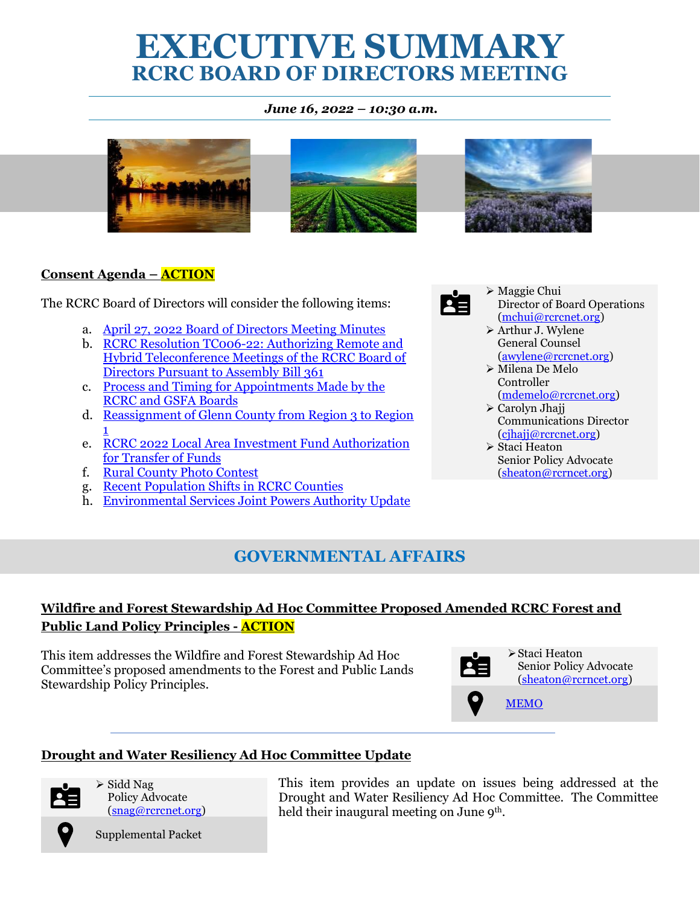# **EXECUTIVE SUMMARY RCRC BOARD OF DIRECTORS MEETING**

#### *June 16, 2022 – 10:30 a.m.*







#### **Consent Agenda – ACTION**

The RCRC Board of Directors will consider the following items:

- a. [April 27, 2022 Board of Directors Meeting Minutes](https://legistarweb-production.s3.amazonaws.com/uploads/attachment/pdf/1414488/4.27.2022_RCRC_Minutes_DRAFT.pdf)
- b. [RCRC Resolution TC006-22: Authorizing Remote and](https://legistarweb-production.s3.amazonaws.com/uploads/attachment/pdf/1414489/RCRC_BOD_AB_361_MEMO.pdf)  Hybrid [Teleconference Meetings of the RCRC Board of](https://legistarweb-production.s3.amazonaws.com/uploads/attachment/pdf/1414489/RCRC_BOD_AB_361_MEMO.pdf)  Directors [Pursuant to Assembly Bill 361](https://legistarweb-production.s3.amazonaws.com/uploads/attachment/pdf/1414489/RCRC_BOD_AB_361_MEMO.pdf)
- c. [Process and Timing for Appointments Made by the](https://legistarweb-production.s3.amazonaws.com/uploads/attachment/pdf/1414492/Process_and_Timing_for_Appointments_Made_by_the_RCRC_and_GSFA_Boards_MEMO.pdf)  [RCRC and GSFA Boards](https://legistarweb-production.s3.amazonaws.com/uploads/attachment/pdf/1414492/Process_and_Timing_for_Appointments_Made_by_the_RCRC_and_GSFA_Boards_MEMO.pdf)
- d. Reassignment [of Glenn County from Region 3 to Region](https://legistarweb-production.s3.amazonaws.com/uploads/attachment/pdf/1414499/Reassignment_of_Glenn_County_from_Region_3_to_Region_1_MEMO.pdf)  [1](https://legistarweb-production.s3.amazonaws.com/uploads/attachment/pdf/1414499/Reassignment_of_Glenn_County_from_Region_3_to_Region_1_MEMO.pdf)
- e. [RCRC 2022 Local Area Investment Fund Authorization](https://legistarweb-production.s3.amazonaws.com/uploads/attachment/pdf/1414746/RCRC_2022_LAIF_Authorization_Memo.pdf) [for Transfer of Funds](https://legistarweb-production.s3.amazonaws.com/uploads/attachment/pdf/1414746/RCRC_2022_LAIF_Authorization_Memo.pdf)
- f. [Rural County Photo Contest](https://legistarweb-production.s3.amazonaws.com/uploads/attachment/pdf/1421932/Rural_County_Photo_Contest_MEMO_2022-06.pdf)
- g. [Recent Population Shifts in RCRC Counties](https://legistarweb-production.s3.amazonaws.com/uploads/attachment/pdf/1421929/Recent_Population_Shifts_in_RCRC_Counties_MEMO.pdf)
- h. [Environmental Services Joint Powers Authority Update](https://legistarweb-production.s3.amazonaws.com/uploads/attachment/pdf/1421935/ESJPA_Update_MEMO_June_2022.pdf)

## **GOVERNMENTAL AFFAIRS**

#### **Wildfire and Forest Stewardship Ad Hoc Committee Proposed Amended RCRC Forest and Public Land Policy Principles - ACTION**

This item addresses the Wildfire and Forest Stewardship Ad Hoc Committee's proposed amendments to the Forest and Public Lands Stewardship Policy Principles.



➢Staci Heaton Senior Policy Advocate [\(sheaton@rcrncet.org\)](mailto:sheaton@rcrncet.org)

[MEMO](https://legistarweb-production.s3.amazonaws.com/uploads/attachment/pdf/1417259/Wildfire_and_Forest_Stewardship_Ad_Hoc_Policy_Principles_MEMO.pdf)

#### **Drought and Water Resiliency Ad Hoc Committee Update**



➢ Sidd Nag Policy Advocate [\(snag@rcrcnet.org\)](mailto:snag@rcrcnet.org)

Supplemental Packet

This item provides an update on issues being addressed at the Drought and Water Resiliency Ad Hoc Committee. The Committee held their inaugural meeting on June 9<sup>th</sup>.



- ➢ Maggie Chui Director of Board Operations [\(mchui@rcrcnet.org\)](mailto:mchui@rcrcnet.org)
- ➢ Arthur J. Wylene General Counsel [\(awylene@rcrcnet.org\)](mailto:awylene@rcrcnet.org)
- ➢ Milena De Melo Controller [\(mdemelo@rcrcnet.org\)](mailto:mdemelo@rcrcnet.org)
- ➢ Carolyn Jhajj Communications Director [\(cjhajj@rcrcnet.org\)](mailto:cjhajj@rcrcnet.org)
- ➢ Staci Heaton Senior Policy Advocate [\(sheaton@rcrncet.org\)](mailto:sheaton@rcrncet.org)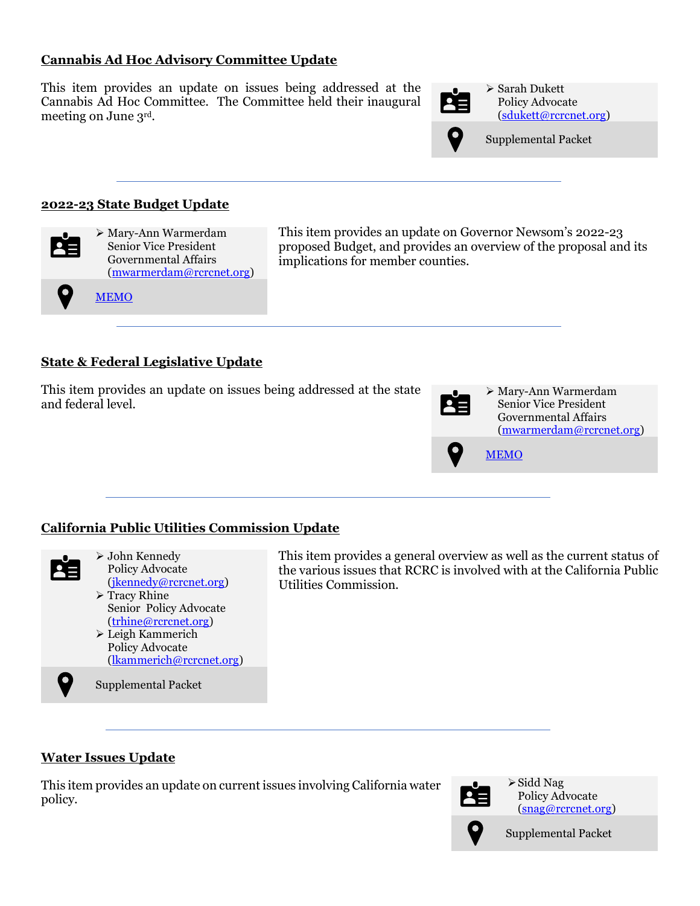#### **Cannabis Ad Hoc Advisory Committee Update**

This item provides an update on issues being addressed at the Cannabis Ad Hoc Committee. The Committee held their inaugural meeting on June 3rd .



➢ Sarah Dukett Policy Advocate [\(sdukett@rcrcnet.org\)](mailto:sdukett@rcrcnet.org)



Supplemental Packet

#### **2022-23 State Budget Update**

**[MEMO](https://legistarweb-production.s3.amazonaws.com/uploads/attachment/pdf/1417252/2022-23_State_Budget_Update_MEMO.pdf)** 



➢ Mary-Ann Warmerdam Senior Vice President Governmental Affairs [\(mwarmerdam@rcrcnet.org\)](mailto:mwarmerdam@rcrcnet.org) This item provides an update on Governor Newsom's 2022-23 proposed Budget, and provides an overview of the proposal and its implications for member counties.

#### **State & Federal Legislative Update**

This item provides an update on issues being addressed at the state and federal level.

|   | > Mary-Ann Warmerdam<br><b>Senior Vice President</b><br>Governmental Affairs<br>(mwarmerdam@rcrcnet.org) |
|---|----------------------------------------------------------------------------------------------------------|
| 9 | <b>MEMO</b>                                                                                              |

#### **California Public Utilities Commission Update**



Policy Advocate [\(jkennedy@rcrcnet.org\)](mailto:jkennedy@rcrcnet.org) ➢ Tracy Rhine Senior Policy Advocate [\(trhine@rcrcnet.org\)](mailto:trhine@rcrcnet.org) ➢ Leigh Kammerich

Supplemental Packet

➢ John Kennedy

Policy Advocate [\(lkammerich@rcrcnet.org\)](mailto:lkammerich@rcrcnet.org) This item provides a general overview as well as the current status of the various issues that RCRC is involved with at the California Public Utilities Commission.

#### **Water Issues Update**

This item provides an update on current issues involving California water policy.



➢Sidd Nag Policy Advocate [\(snag@rcrcnet.org\)](mailto:snag@rcrcnet.org)



Supplemental Packet